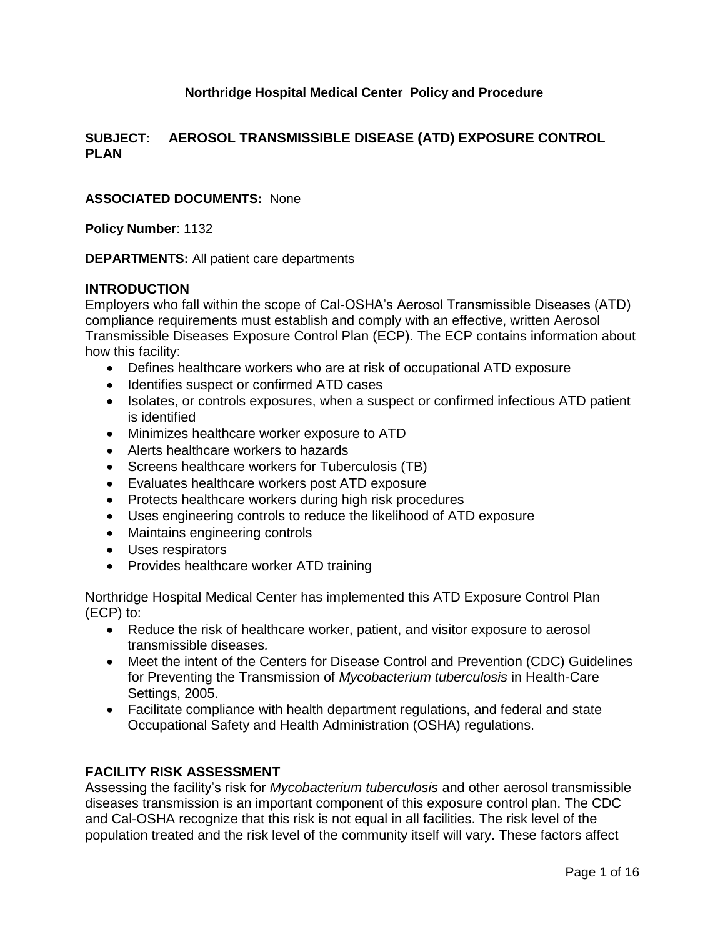# **Northridge Hospital Medical Center Policy and Procedure**

#### **SUBJECT: AEROSOL TRANSMISSIBLE DISEASE (ATD) EXPOSURE CONTROL PLAN**

#### **ASSOCIATED DOCUMENTS:** None

**Policy Number**: 1132

**DEPARTMENTS:** All patient care departments

#### **INTRODUCTION**

Employers who fall within the scope of Cal-OSHA's Aerosol Transmissible Diseases (ATD) compliance requirements must establish and comply with an effective, written Aerosol Transmissible Diseases Exposure Control Plan (ECP). The ECP contains information about how this facility:

- Defines healthcare workers who are at risk of occupational ATD exposure
- Identifies suspect or confirmed ATD cases
- Isolates, or controls exposures, when a suspect or confirmed infectious ATD patient is identified
- Minimizes healthcare worker exposure to ATD
- Alerts healthcare workers to hazards
- Screens healthcare workers for Tuberculosis (TB)
- Evaluates healthcare workers post ATD exposure
- Protects healthcare workers during high risk procedures
- Uses engineering controls to reduce the likelihood of ATD exposure
- Maintains engineering controls
- Uses respirators
- Provides healthcare worker ATD training

Northridge Hospital Medical Center has implemented this ATD Exposure Control Plan (ECP) to:

- Reduce the risk of healthcare worker, patient, and visitor exposure to aerosol transmissible diseases*.*
- Meet the intent of the Centers for Disease Control and Prevention (CDC) Guidelines for Preventing the Transmission of *Mycobacterium tuberculosis* in Health-Care Settings, 2005.
- Facilitate compliance with health department regulations, and federal and state Occupational Safety and Health Administration (OSHA) regulations.

### **FACILITY RISK ASSESSMENT**

Assessing the facility's risk for *Mycobacterium tuberculosis* and other aerosol transmissible diseases transmission is an important component of this exposure control plan. The CDC and Cal-OSHA recognize that this risk is not equal in all facilities. The risk level of the population treated and the risk level of the community itself will vary. These factors affect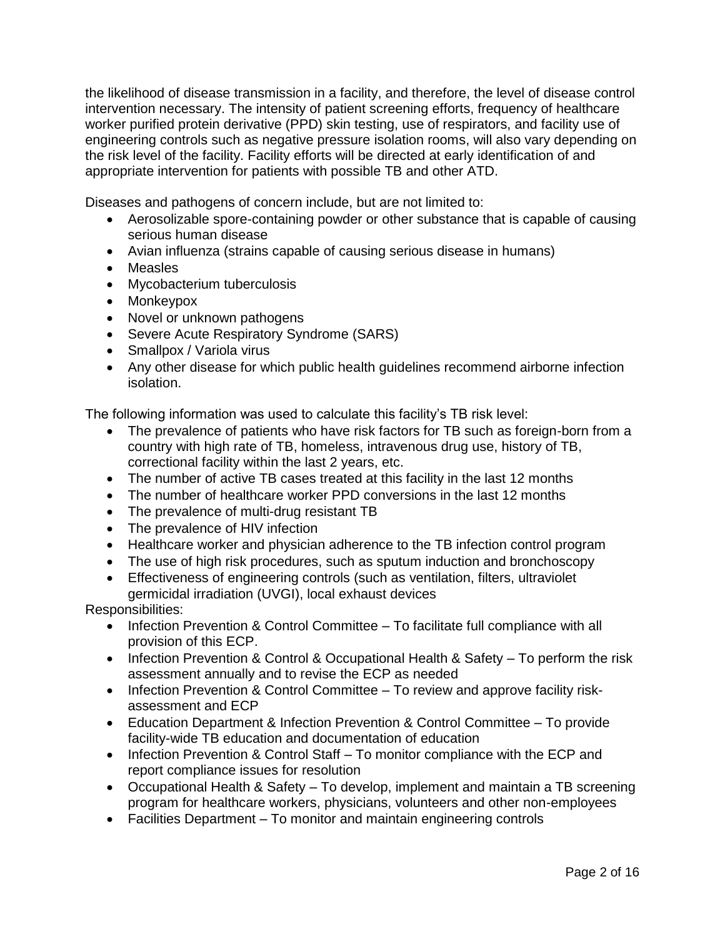the likelihood of disease transmission in a facility, and therefore, the level of disease control intervention necessary. The intensity of patient screening efforts, frequency of healthcare worker purified protein derivative (PPD) skin testing, use of respirators, and facility use of engineering controls such as negative pressure isolation rooms, will also vary depending on the risk level of the facility. Facility efforts will be directed at early identification of and appropriate intervention for patients with possible TB and other ATD.

Diseases and pathogens of concern include, but are not limited to:

- Aerosolizable spore-containing powder or other substance that is capable of causing serious human disease
- Avian influenza (strains capable of causing serious disease in humans)
- Measles
- Mycobacterium tuberculosis
- Monkeypox
- Novel or unknown pathogens
- Severe Acute Respiratory Syndrome (SARS)
- Smallpox / Variola virus
- Any other disease for which public health guidelines recommend airborne infection isolation.

The following information was used to calculate this facility's TB risk level:

- The prevalence of patients who have risk factors for TB such as foreign-born from a country with high rate of TB, homeless, intravenous drug use, history of TB, correctional facility within the last 2 years, etc.
- The number of active TB cases treated at this facility in the last 12 months
- The number of healthcare worker PPD conversions in the last 12 months
- The prevalence of multi-drug resistant TB
- The prevalence of HIV infection
- Healthcare worker and physician adherence to the TB infection control program
- The use of high risk procedures, such as sputum induction and bronchoscopy
- Effectiveness of engineering controls (such as ventilation, filters, ultraviolet germicidal irradiation (UVGI), local exhaust devices

Responsibilities:

- Infection Prevention & Control Committee To facilitate full compliance with all provision of this ECP.
- Infection Prevention & Control & Occupational Health & Safety To perform the risk assessment annually and to revise the ECP as needed
- Infection Prevention & Control Committee To review and approve facility riskassessment and ECP
- Education Department & Infection Prevention & Control Committee To provide facility-wide TB education and documentation of education
- Infection Prevention & Control Staff To monitor compliance with the ECP and report compliance issues for resolution
- Occupational Health & Safety To develop, implement and maintain a TB screening program for healthcare workers, physicians, volunteers and other non-employees
- Facilities Department To monitor and maintain engineering controls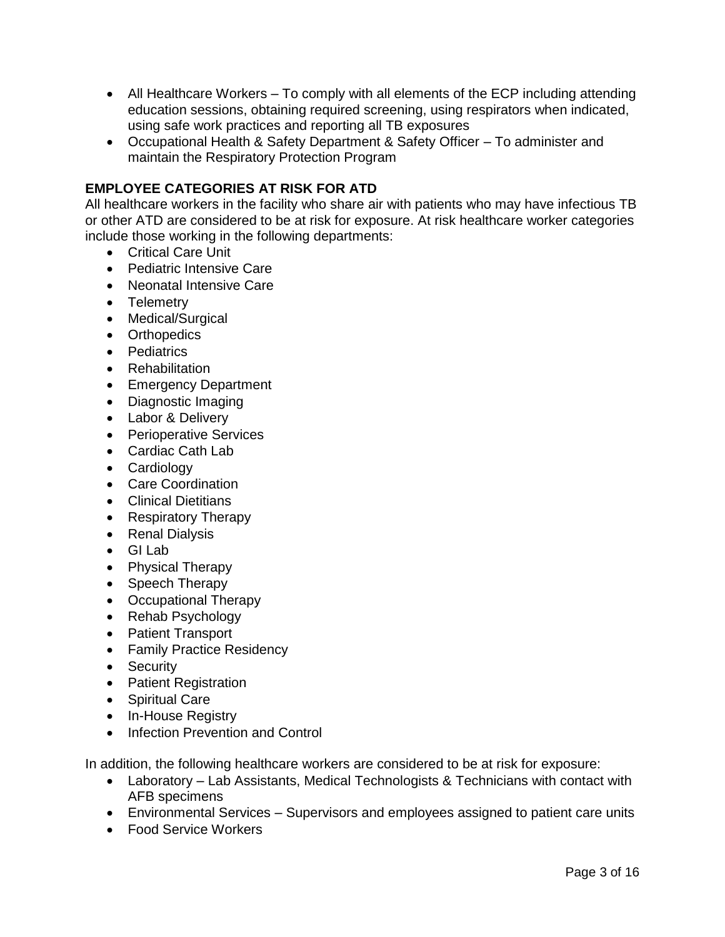- All Healthcare Workers To comply with all elements of the ECP including attending education sessions, obtaining required screening, using respirators when indicated, using safe work practices and reporting all TB exposures
- Occupational Health & Safety Department & Safety Officer To administer and maintain the Respiratory Protection Program

# **EMPLOYEE CATEGORIES AT RISK FOR ATD**

All healthcare workers in the facility who share air with patients who may have infectious TB or other ATD are considered to be at risk for exposure. At risk healthcare worker categories include those working in the following departments:

- Critical Care Unit
- Pediatric Intensive Care
- Neonatal Intensive Care
- Telemetry
- Medical/Surgical
- Orthopedics
- Pediatrics
- Rehabilitation
- Emergency Department
- Diagnostic Imaging
- Labor & Delivery
- Perioperative Services
- Cardiac Cath Lab
- Cardiology
- Care Coordination
- Clinical Dietitians
- Respiratory Therapy
- Renal Dialysis
- GI Lab
- Physical Therapy
- Speech Therapy
- Occupational Therapy
- Rehab Psychology
- Patient Transport
- Family Practice Residency
- Security
- Patient Registration
- Spiritual Care
- In-House Registry
- Infection Prevention and Control

In addition, the following healthcare workers are considered to be at risk for exposure:

- Laboratory Lab Assistants, Medical Technologists & Technicians with contact with AFB specimens
- Environmental Services Supervisors and employees assigned to patient care units
- Food Service Workers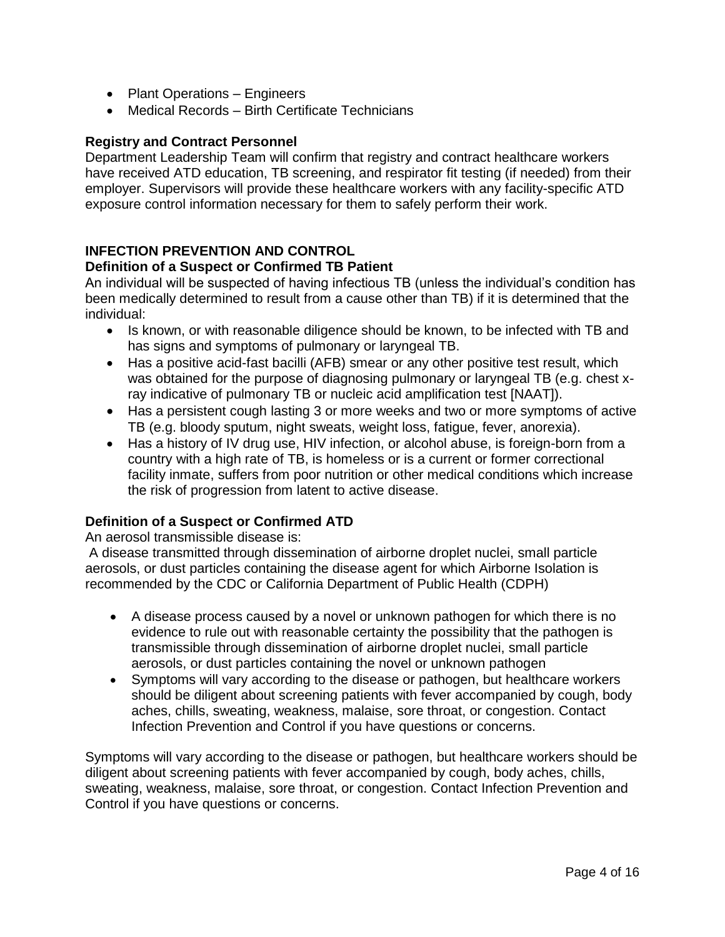- Plant Operations Engineers
- Medical Records Birth Certificate Technicians

### **Registry and Contract Personnel**

Department Leadership Team will confirm that registry and contract healthcare workers have received ATD education, TB screening, and respirator fit testing (if needed) from their employer. Supervisors will provide these healthcare workers with any facility-specific ATD exposure control information necessary for them to safely perform their work.

# **INFECTION PREVENTION AND CONTROL**

### **Definition of a Suspect or Confirmed TB Patient**

An individual will be suspected of having infectious TB (unless the individual's condition has been medically determined to result from a cause other than TB) if it is determined that the individual:

- Is known, or with reasonable diligence should be known, to be infected with TB and has signs and symptoms of pulmonary or laryngeal TB.
- Has a positive acid-fast bacilli (AFB) smear or any other positive test result, which was obtained for the purpose of diagnosing pulmonary or laryngeal TB (e.g. chest xray indicative of pulmonary TB or nucleic acid amplification test [NAAT]).
- Has a persistent cough lasting 3 or more weeks and two or more symptoms of active TB (e.g. bloody sputum, night sweats, weight loss, fatigue, fever, anorexia).
- Has a history of IV drug use, HIV infection, or alcohol abuse, is foreign-born from a country with a high rate of TB, is homeless or is a current or former correctional facility inmate, suffers from poor nutrition or other medical conditions which increase the risk of progression from latent to active disease.

# **Definition of a Suspect or Confirmed ATD**

An aerosol transmissible disease is:

A disease transmitted through dissemination of airborne droplet nuclei, small particle aerosols, or dust particles containing the disease agent for which Airborne Isolation is recommended by the CDC or California Department of Public Health (CDPH)

- A disease process caused by a novel or unknown pathogen for which there is no evidence to rule out with reasonable certainty the possibility that the pathogen is transmissible through dissemination of airborne droplet nuclei, small particle aerosols, or dust particles containing the novel or unknown pathogen
- Symptoms will vary according to the disease or pathogen, but healthcare workers should be diligent about screening patients with fever accompanied by cough, body aches, chills, sweating, weakness, malaise, sore throat, or congestion. Contact Infection Prevention and Control if you have questions or concerns.

Symptoms will vary according to the disease or pathogen, but healthcare workers should be diligent about screening patients with fever accompanied by cough, body aches, chills, sweating, weakness, malaise, sore throat, or congestion. Contact Infection Prevention and Control if you have questions or concerns.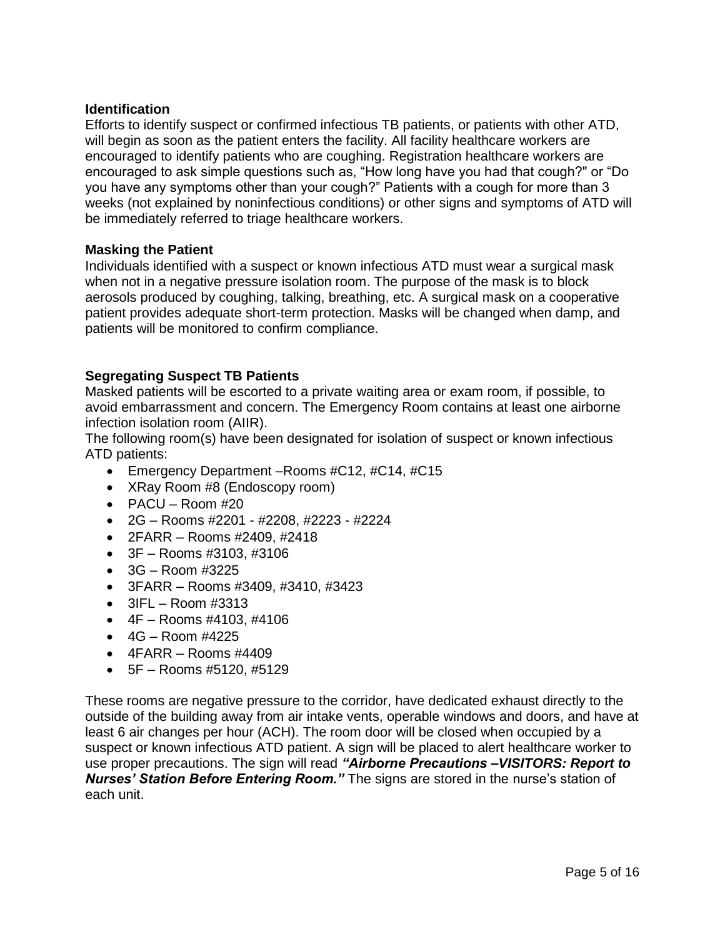# **Identification**

Efforts to identify suspect or confirmed infectious TB patients, or patients with other ATD, will begin as soon as the patient enters the facility. All facility healthcare workers are encouraged to identify patients who are coughing. Registration healthcare workers are encouraged to ask simple questions such as, "How long have you had that cough?" or "Do you have any symptoms other than your cough?" Patients with a cough for more than 3 weeks (not explained by noninfectious conditions) or other signs and symptoms of ATD will be immediately referred to triage healthcare workers.

#### **Masking the Patient**

Individuals identified with a suspect or known infectious ATD must wear a surgical mask when not in a negative pressure isolation room. The purpose of the mask is to block aerosols produced by coughing, talking, breathing, etc. A surgical mask on a cooperative patient provides adequate short-term protection. Masks will be changed when damp, and patients will be monitored to confirm compliance.

# **Segregating Suspect TB Patients**

Masked patients will be escorted to a private waiting area or exam room, if possible, to avoid embarrassment and concern. The Emergency Room contains at least one airborne infection isolation room (AIIR).

The following room(s) have been designated for isolation of suspect or known infectious ATD patients:

- Emergency Department Rooms #C12, #C14, #C15
- XRay Room #8 (Endoscopy room)
- $\bullet$  PACU Room #20
- 2G Rooms #2201 #2208, #2223 #2224
- 2FARR Rooms #2409, #2418
- 3F Rooms #3103, #3106
- $\bullet$  3G Room #3225
- 3FARR Rooms #3409, #3410, #3423
- $\bullet$  3IFL Room #3313
- $\bullet$  4F Rooms #4103, #4106
- $\bullet$  4G Room #4225
- $\bullet$  4FARR Rooms #4409
- 5F Rooms #5120, #5129

These rooms are negative pressure to the corridor, have dedicated exhaust directly to the outside of the building away from air intake vents, operable windows and doors, and have at least 6 air changes per hour (ACH). The room door will be closed when occupied by a suspect or known infectious ATD patient. A sign will be placed to alert healthcare worker to use proper precautions. The sign will read *"Airborne Precautions –VISITORS: Report to Nurses' Station Before Entering Room."* The signs are stored in the nurse's station of each unit.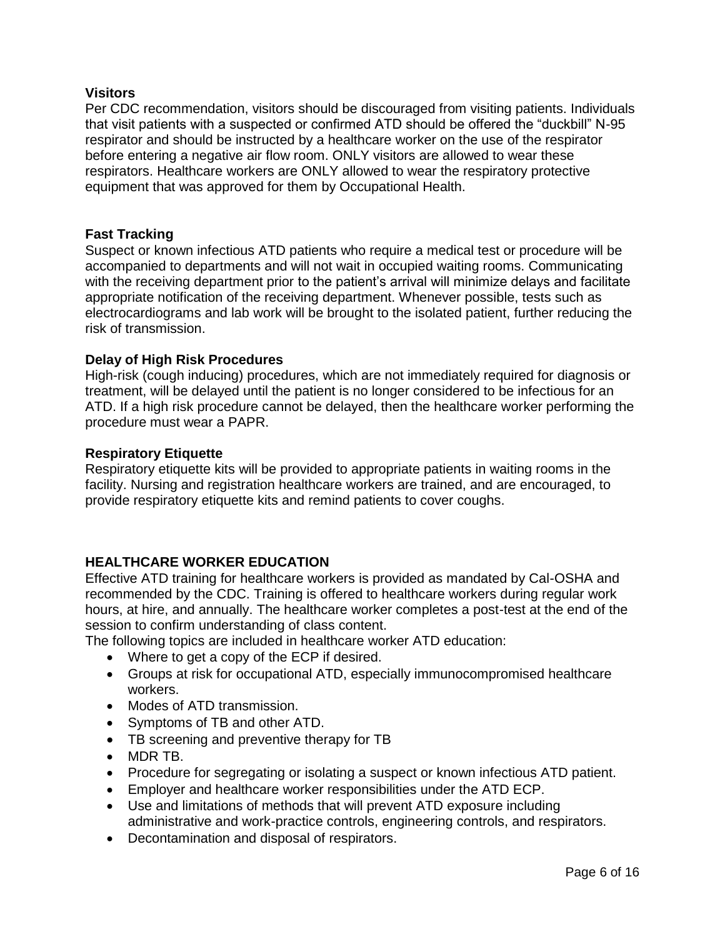### **Visitors**

Per CDC recommendation, visitors should be discouraged from visiting patients. Individuals that visit patients with a suspected or confirmed ATD should be offered the "duckbill" N-95 respirator and should be instructed by a healthcare worker on the use of the respirator before entering a negative air flow room. ONLY visitors are allowed to wear these respirators. Healthcare workers are ONLY allowed to wear the respiratory protective equipment that was approved for them by Occupational Health.

### **Fast Tracking**

Suspect or known infectious ATD patients who require a medical test or procedure will be accompanied to departments and will not wait in occupied waiting rooms. Communicating with the receiving department prior to the patient's arrival will minimize delays and facilitate appropriate notification of the receiving department. Whenever possible, tests such as electrocardiograms and lab work will be brought to the isolated patient, further reducing the risk of transmission.

### **Delay of High Risk Procedures**

High-risk (cough inducing) procedures, which are not immediately required for diagnosis or treatment, will be delayed until the patient is no longer considered to be infectious for an ATD. If a high risk procedure cannot be delayed, then the healthcare worker performing the procedure must wear a PAPR.

#### **Respiratory Etiquette**

Respiratory etiquette kits will be provided to appropriate patients in waiting rooms in the facility. Nursing and registration healthcare workers are trained, and are encouraged, to provide respiratory etiquette kits and remind patients to cover coughs.

### **HEALTHCARE WORKER EDUCATION**

Effective ATD training for healthcare workers is provided as mandated by Cal-OSHA and recommended by the CDC. Training is offered to healthcare workers during regular work hours, at hire, and annually. The healthcare worker completes a post-test at the end of the session to confirm understanding of class content.

The following topics are included in healthcare worker ATD education:

- Where to get a copy of the ECP if desired.
- Groups at risk for occupational ATD, especially immunocompromised healthcare workers.
- Modes of ATD transmission.
- Symptoms of TB and other ATD.
- TB screening and preventive therapy for TB
- MDR TB.
- Procedure for segregating or isolating a suspect or known infectious ATD patient.
- Employer and healthcare worker responsibilities under the ATD ECP.
- Use and limitations of methods that will prevent ATD exposure including administrative and work-practice controls, engineering controls, and respirators.
- Decontamination and disposal of respirators.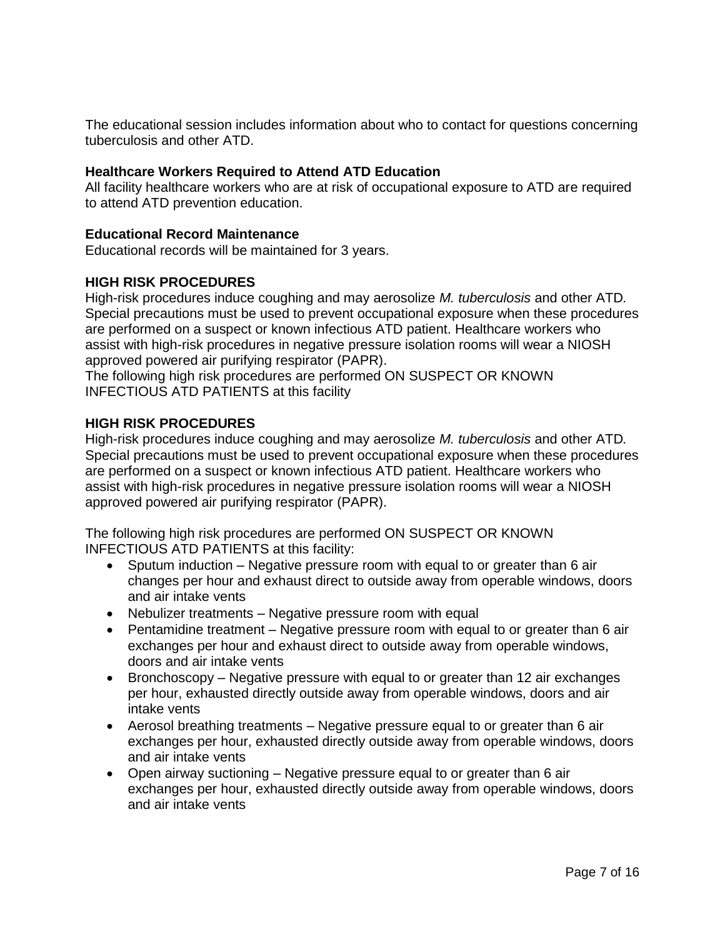The educational session includes information about who to contact for questions concerning tuberculosis and other ATD.

# **Healthcare Workers Required to Attend ATD Education**

All facility healthcare workers who are at risk of occupational exposure to ATD are required to attend ATD prevention education.

### **Educational Record Maintenance**

Educational records will be maintained for 3 years.

### **HIGH RISK PROCEDURES**

High-risk procedures induce coughing and may aerosolize *M. tuberculosis* and other ATD*.*  Special precautions must be used to prevent occupational exposure when these procedures are performed on a suspect or known infectious ATD patient. Healthcare workers who assist with high-risk procedures in negative pressure isolation rooms will wear a NIOSH approved powered air purifying respirator (PAPR).

The following high risk procedures are performed ON SUSPECT OR KNOWN INFECTIOUS ATD PATIENTS at this facility

### **HIGH RISK PROCEDURES**

High-risk procedures induce coughing and may aerosolize *M. tuberculosis* and other ATD*.*  Special precautions must be used to prevent occupational exposure when these procedures are performed on a suspect or known infectious ATD patient. Healthcare workers who assist with high-risk procedures in negative pressure isolation rooms will wear a NIOSH approved powered air purifying respirator (PAPR).

The following high risk procedures are performed ON SUSPECT OR KNOWN INFECTIOUS ATD PATIENTS at this facility:

- Sputum induction Negative pressure room with equal to or greater than 6 air changes per hour and exhaust direct to outside away from operable windows, doors and air intake vents
- Nebulizer treatments Negative pressure room with equal
- Pentamidine treatment Negative pressure room with equal to or greater than 6 air exchanges per hour and exhaust direct to outside away from operable windows, doors and air intake vents
- Bronchoscopy Negative pressure with equal to or greater than 12 air exchanges per hour, exhausted directly outside away from operable windows, doors and air intake vents
- Aerosol breathing treatments Negative pressure equal to or greater than 6 air exchanges per hour, exhausted directly outside away from operable windows, doors and air intake vents
- Open airway suctioning Negative pressure equal to or greater than 6 air exchanges per hour, exhausted directly outside away from operable windows, doors and air intake vents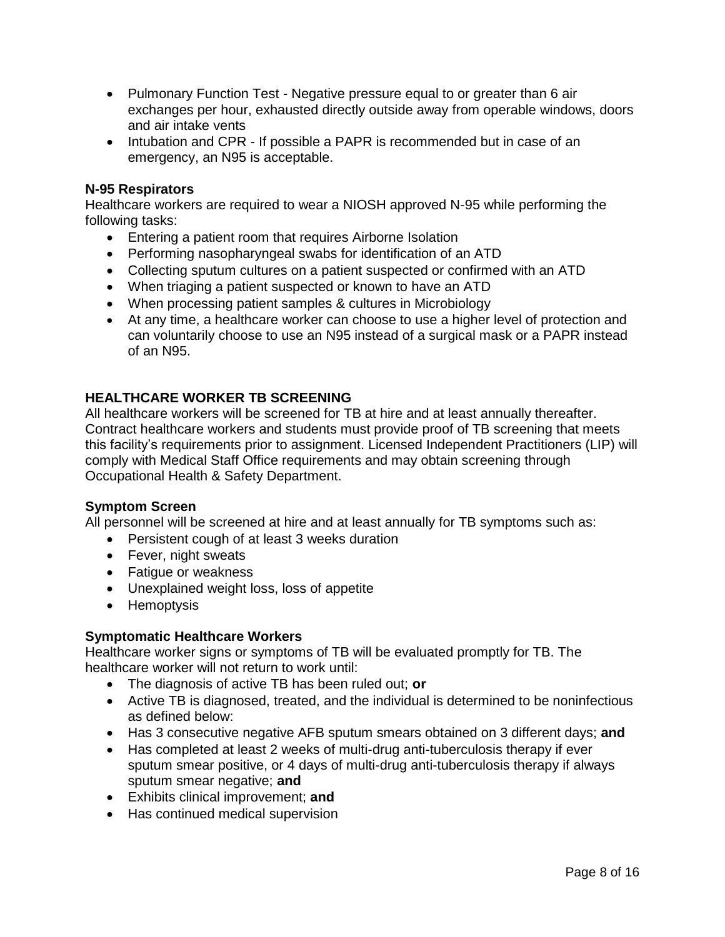- Pulmonary Function Test Negative pressure equal to or greater than 6 air exchanges per hour, exhausted directly outside away from operable windows, doors and air intake vents
- Intubation and CPR If possible a PAPR is recommended but in case of an emergency, an N95 is acceptable.

### **N-95 Respirators**

Healthcare workers are required to wear a NIOSH approved N-95 while performing the following tasks:

- Entering a patient room that requires Airborne Isolation
- Performing nasopharyngeal swabs for identification of an ATD
- Collecting sputum cultures on a patient suspected or confirmed with an ATD
- When triaging a patient suspected or known to have an ATD
- When processing patient samples & cultures in Microbiology
- At any time, a healthcare worker can choose to use a higher level of protection and can voluntarily choose to use an N95 instead of a surgical mask or a PAPR instead of an N95.

# **HEALTHCARE WORKER TB SCREENING**

All healthcare workers will be screened for TB at hire and at least annually thereafter. Contract healthcare workers and students must provide proof of TB screening that meets this facility's requirements prior to assignment. Licensed Independent Practitioners (LIP) will comply with Medical Staff Office requirements and may obtain screening through Occupational Health & Safety Department.

### **Symptom Screen**

All personnel will be screened at hire and at least annually for TB symptoms such as:

- Persistent cough of at least 3 weeks duration
- Fever, night sweats
- Fatigue or weakness
- Unexplained weight loss, loss of appetite
- Hemoptysis

### **Symptomatic Healthcare Workers**

Healthcare worker signs or symptoms of TB will be evaluated promptly for TB. The healthcare worker will not return to work until:

- The diagnosis of active TB has been ruled out; **or**
- Active TB is diagnosed, treated, and the individual is determined to be noninfectious as defined below:
- Has 3 consecutive negative AFB sputum smears obtained on 3 different days; **and**
- Has completed at least 2 weeks of multi-drug anti-tuberculosis therapy if ever sputum smear positive, or 4 days of multi-drug anti-tuberculosis therapy if always sputum smear negative; **and**
- Exhibits clinical improvement; **and**
- Has continued medical supervision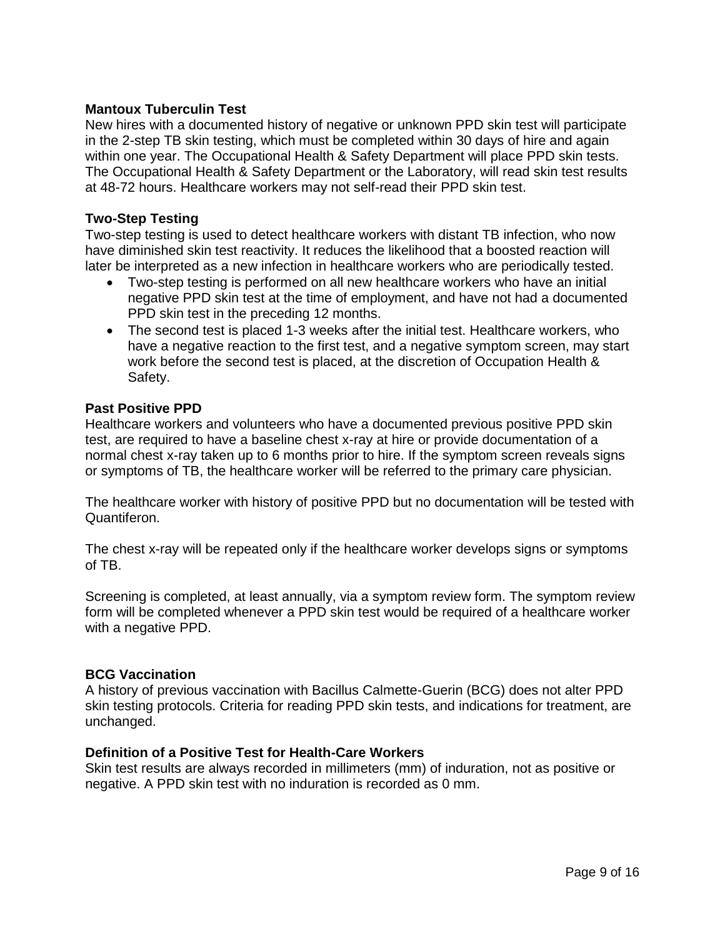### **Mantoux Tuberculin Test**

New hires with a documented history of negative or unknown PPD skin test will participate in the 2-step TB skin testing, which must be completed within 30 days of hire and again within one year. The Occupational Health & Safety Department will place PPD skin tests. The Occupational Health & Safety Department or the Laboratory, will read skin test results at 48-72 hours. Healthcare workers may not self-read their PPD skin test.

#### **Two-Step Testing**

Two-step testing is used to detect healthcare workers with distant TB infection, who now have diminished skin test reactivity. It reduces the likelihood that a boosted reaction will later be interpreted as a new infection in healthcare workers who are periodically tested.

- Two-step testing is performed on all new healthcare workers who have an initial negative PPD skin test at the time of employment, and have not had a documented PPD skin test in the preceding 12 months.
- The second test is placed 1-3 weeks after the initial test. Healthcare workers, who have a negative reaction to the first test, and a negative symptom screen, may start work before the second test is placed, at the discretion of Occupation Health & Safety.

#### **Past Positive PPD**

Healthcare workers and volunteers who have a documented previous positive PPD skin test, are required to have a baseline chest x-ray at hire or provide documentation of a normal chest x-ray taken up to 6 months prior to hire. If the symptom screen reveals signs or symptoms of TB, the healthcare worker will be referred to the primary care physician.

The healthcare worker with history of positive PPD but no documentation will be tested with Quantiferon.

The chest x-ray will be repeated only if the healthcare worker develops signs or symptoms of TB.

Screening is completed, at least annually, via a symptom review form. The symptom review form will be completed whenever a PPD skin test would be required of a healthcare worker with a negative PPD.

#### **BCG Vaccination**

A history of previous vaccination with Bacillus Calmette-Guerin (BCG) does not alter PPD skin testing protocols. Criteria for reading PPD skin tests, and indications for treatment, are unchanged.

#### **Definition of a Positive Test for Health-Care Workers**

Skin test results are always recorded in millimeters (mm) of induration, not as positive or negative. A PPD skin test with no induration is recorded as 0 mm.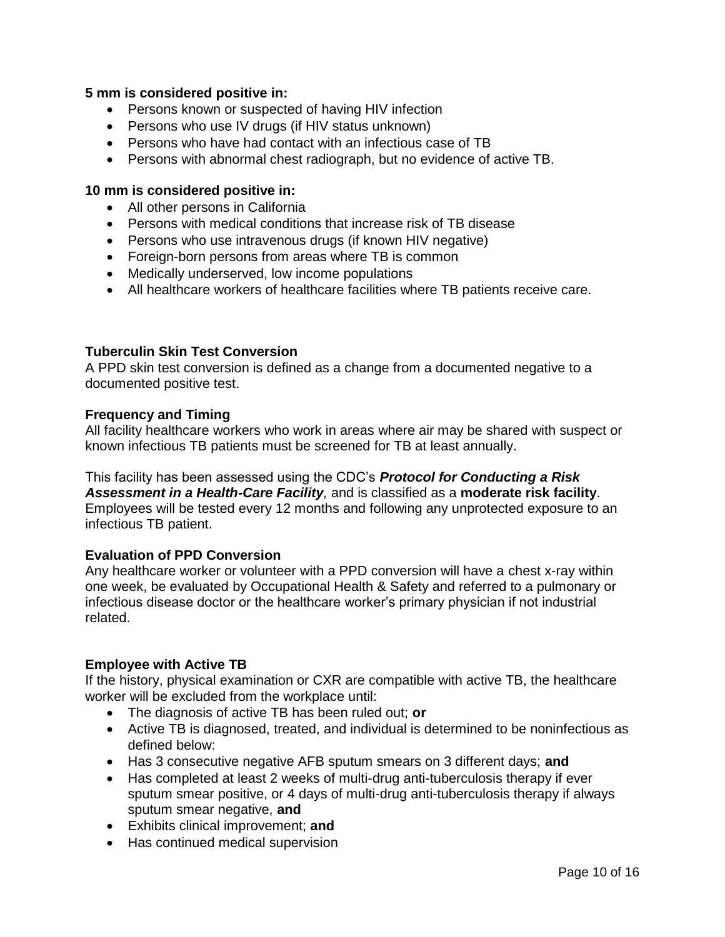### **5 mm is considered positive in:**

- Persons known or suspected of having HIV infection
- Persons who use IV drugs (if HIV status unknown)
- Persons who have had contact with an infectious case of TB
- Persons with abnormal chest radiograph, but no evidence of active TB.

### **10 mm is considered positive in:**

- All other persons in California
- Persons with medical conditions that increase risk of TB disease
- Persons who use intravenous drugs (if known HIV negative)
- Foreign-born persons from areas where TB is common
- Medically underserved, low income populations
- All healthcare workers of healthcare facilities where TB patients receive care.

### **Tuberculin Skin Test Conversion**

A PPD skin test conversion is defined as a change from a documented negative to a documented positive test.

#### **Frequency and Timing**

All facility healthcare workers who work in areas where air may be shared with suspect or known infectious TB patients must be screened for TB at least annually.

This facility has been assessed using the CDC's *Protocol for Conducting a Risk Assessment in a Health-Care Facility,* and is classified as a **moderate risk facility**. Employees will be tested every 12 months and following any unprotected exposure to an infectious TB patient.

### **Evaluation of PPD Conversion**

Any healthcare worker or volunteer with a PPD conversion will have a chest x-ray within one week, be evaluated by Occupational Health & Safety and referred to a pulmonary or infectious disease doctor or the healthcare worker's primary physician if not industrial related.

### **Employee with Active TB**

If the history, physical examination or CXR are compatible with active TB, the healthcare worker will be excluded from the workplace until:

- The diagnosis of active TB has been ruled out; **or**
- Active TB is diagnosed, treated, and individual is determined to be noninfectious as defined below:
- Has 3 consecutive negative AFB sputum smears on 3 different days; **and**
- Has completed at least 2 weeks of multi-drug anti-tuberculosis therapy if ever sputum smear positive, or 4 days of multi-drug anti-tuberculosis therapy if always sputum smear negative, **and**
- Exhibits clinical improvement; **and**
- Has continued medical supervision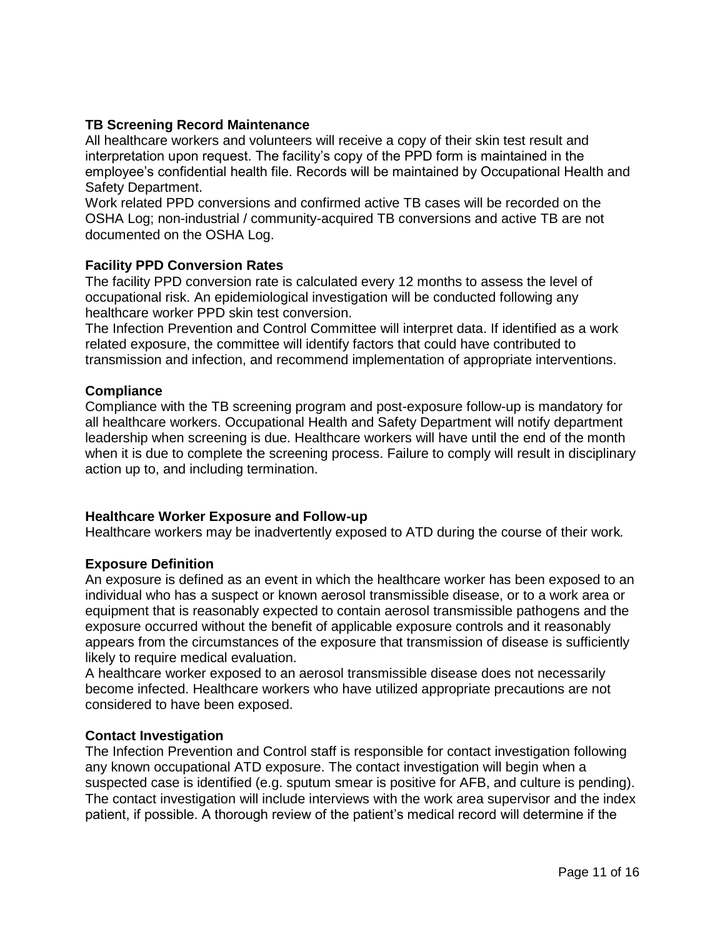# **TB Screening Record Maintenance**

All healthcare workers and volunteers will receive a copy of their skin test result and interpretation upon request. The facility's copy of the PPD form is maintained in the employee's confidential health file. Records will be maintained by Occupational Health and Safety Department.

Work related PPD conversions and confirmed active TB cases will be recorded on the OSHA Log; non-industrial / community-acquired TB conversions and active TB are not documented on the OSHA Log.

### **Facility PPD Conversion Rates**

The facility PPD conversion rate is calculated every 12 months to assess the level of occupational risk. An epidemiological investigation will be conducted following any healthcare worker PPD skin test conversion.

The Infection Prevention and Control Committee will interpret data. If identified as a work related exposure, the committee will identify factors that could have contributed to transmission and infection, and recommend implementation of appropriate interventions.

#### **Compliance**

Compliance with the TB screening program and post-exposure follow-up is mandatory for all healthcare workers. Occupational Health and Safety Department will notify department leadership when screening is due. Healthcare workers will have until the end of the month when it is due to complete the screening process. Failure to comply will result in disciplinary action up to, and including termination.

### **Healthcare Worker Exposure and Follow-up**

Healthcare workers may be inadvertently exposed to ATD during the course of their work*.* 

#### **Exposure Definition**

An exposure is defined as an event in which the healthcare worker has been exposed to an individual who has a suspect or known aerosol transmissible disease, or to a work area or equipment that is reasonably expected to contain aerosol transmissible pathogens and the exposure occurred without the benefit of applicable exposure controls and it reasonably appears from the circumstances of the exposure that transmission of disease is sufficiently likely to require medical evaluation.

A healthcare worker exposed to an aerosol transmissible disease does not necessarily become infected. Healthcare workers who have utilized appropriate precautions are not considered to have been exposed.

#### **Contact Investigation**

The Infection Prevention and Control staff is responsible for contact investigation following any known occupational ATD exposure. The contact investigation will begin when a suspected case is identified (e.g. sputum smear is positive for AFB, and culture is pending). The contact investigation will include interviews with the work area supervisor and the index patient, if possible. A thorough review of the patient's medical record will determine if the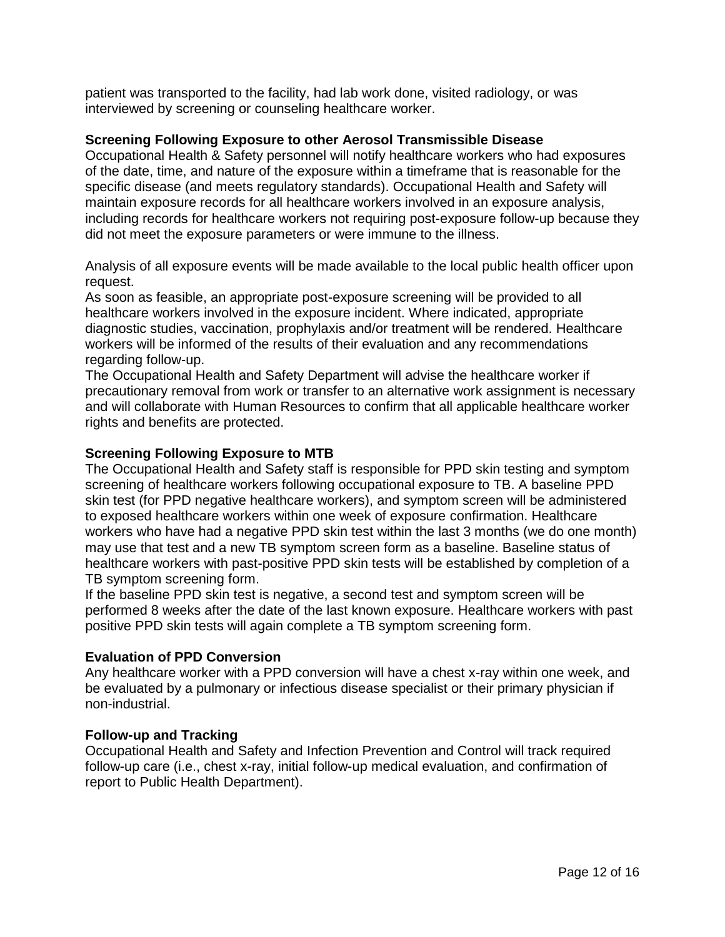patient was transported to the facility, had lab work done, visited radiology, or was interviewed by screening or counseling healthcare worker.

#### **Screening Following Exposure to other Aerosol Transmissible Disease**

Occupational Health & Safety personnel will notify healthcare workers who had exposures of the date, time, and nature of the exposure within a timeframe that is reasonable for the specific disease (and meets regulatory standards). Occupational Health and Safety will maintain exposure records for all healthcare workers involved in an exposure analysis, including records for healthcare workers not requiring post-exposure follow-up because they did not meet the exposure parameters or were immune to the illness.

Analysis of all exposure events will be made available to the local public health officer upon request.

As soon as feasible, an appropriate post-exposure screening will be provided to all healthcare workers involved in the exposure incident. Where indicated, appropriate diagnostic studies, vaccination, prophylaxis and/or treatment will be rendered. Healthcare workers will be informed of the results of their evaluation and any recommendations regarding follow-up.

The Occupational Health and Safety Department will advise the healthcare worker if precautionary removal from work or transfer to an alternative work assignment is necessary and will collaborate with Human Resources to confirm that all applicable healthcare worker rights and benefits are protected.

#### **Screening Following Exposure to MTB**

The Occupational Health and Safety staff is responsible for PPD skin testing and symptom screening of healthcare workers following occupational exposure to TB. A baseline PPD skin test (for PPD negative healthcare workers), and symptom screen will be administered to exposed healthcare workers within one week of exposure confirmation. Healthcare workers who have had a negative PPD skin test within the last 3 months (we do one month) may use that test and a new TB symptom screen form as a baseline. Baseline status of healthcare workers with past-positive PPD skin tests will be established by completion of a TB symptom screening form.

If the baseline PPD skin test is negative, a second test and symptom screen will be performed 8 weeks after the date of the last known exposure. Healthcare workers with past positive PPD skin tests will again complete a TB symptom screening form.

### **Evaluation of PPD Conversion**

Any healthcare worker with a PPD conversion will have a chest x-ray within one week, and be evaluated by a pulmonary or infectious disease specialist or their primary physician if non-industrial.

#### **Follow-up and Tracking**

Occupational Health and Safety and Infection Prevention and Control will track required follow-up care (i.e., chest x-ray, initial follow-up medical evaluation, and confirmation of report to Public Health Department).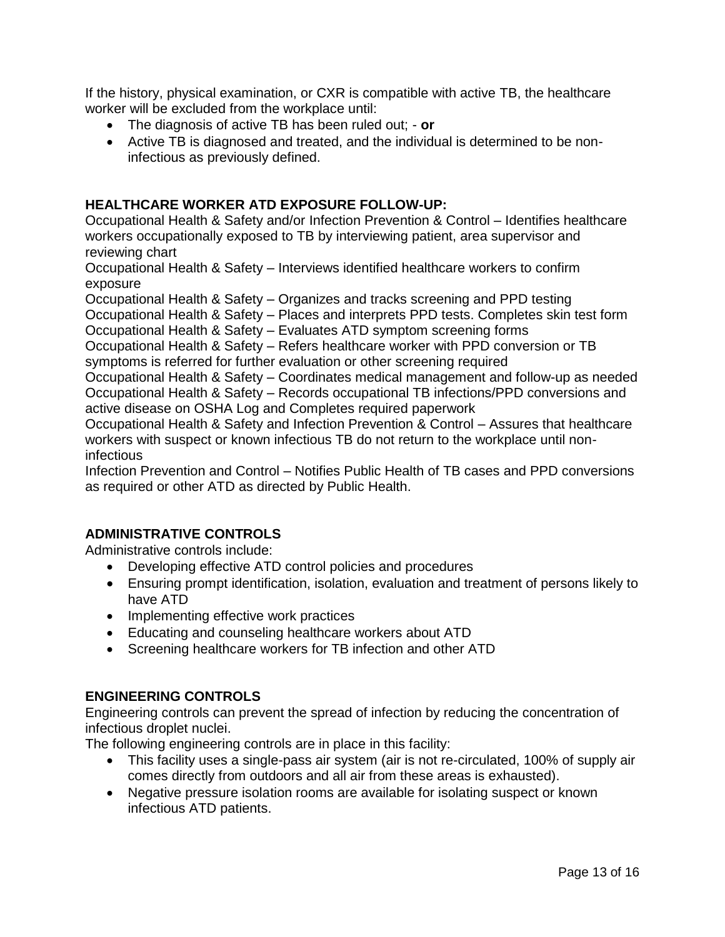If the history, physical examination, or CXR is compatible with active TB, the healthcare worker will be excluded from the workplace until:

- The diagnosis of active TB has been ruled out; **or**
- Active TB is diagnosed and treated, and the individual is determined to be noninfectious as previously defined.

# **HEALTHCARE WORKER ATD EXPOSURE FOLLOW-UP:**

Occupational Health & Safety and/or Infection Prevention & Control – Identifies healthcare workers occupationally exposed to TB by interviewing patient, area supervisor and reviewing chart

Occupational Health & Safety – Interviews identified healthcare workers to confirm exposure

Occupational Health & Safety – Organizes and tracks screening and PPD testing

Occupational Health & Safety – Places and interprets PPD tests. Completes skin test form

Occupational Health & Safety – Evaluates ATD symptom screening forms

Occupational Health & Safety – Refers healthcare worker with PPD conversion or TB

symptoms is referred for further evaluation or other screening required

Occupational Health & Safety – Coordinates medical management and follow-up as needed Occupational Health & Safety – Records occupational TB infections/PPD conversions and active disease on OSHA Log and Completes required paperwork

Occupational Health & Safety and Infection Prevention & Control – Assures that healthcare workers with suspect or known infectious TB do not return to the workplace until noninfectious

Infection Prevention and Control – Notifies Public Health of TB cases and PPD conversions as required or other ATD as directed by Public Health.

# **ADMINISTRATIVE CONTROLS**

Administrative controls include:

- Developing effective ATD control policies and procedures
- Ensuring prompt identification, isolation, evaluation and treatment of persons likely to have ATD
- Implementing effective work practices
- Educating and counseling healthcare workers about ATD
- Screening healthcare workers for TB infection and other ATD

### **ENGINEERING CONTROLS**

Engineering controls can prevent the spread of infection by reducing the concentration of infectious droplet nuclei.

The following engineering controls are in place in this facility:

- This facility uses a single-pass air system (air is not re-circulated, 100% of supply air comes directly from outdoors and all air from these areas is exhausted).
- Negative pressure isolation rooms are available for isolating suspect or known infectious ATD patients.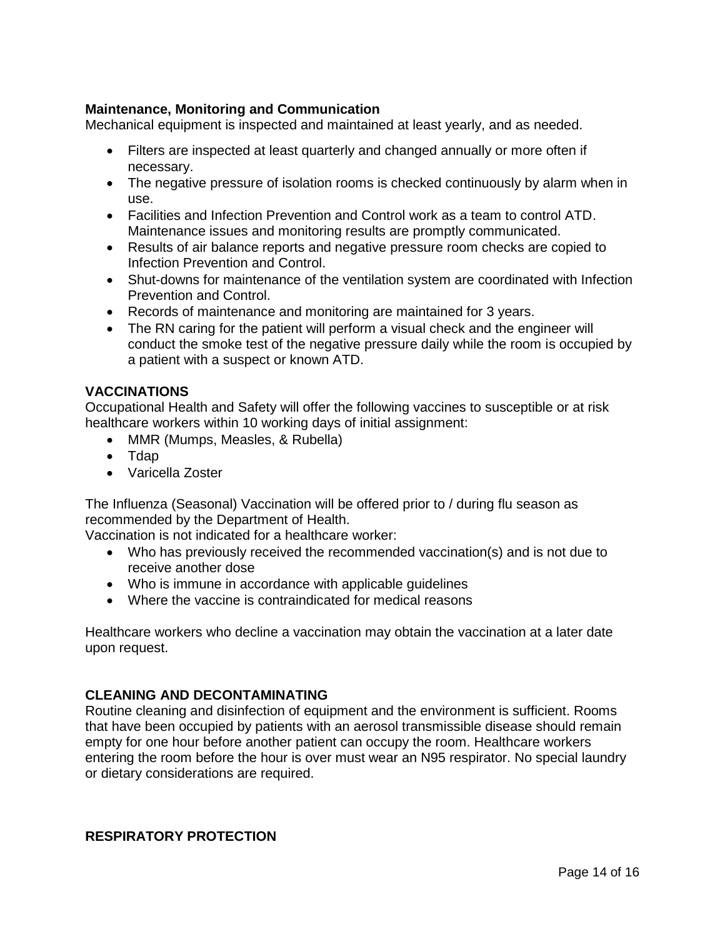# **Maintenance, Monitoring and Communication**

Mechanical equipment is inspected and maintained at least yearly, and as needed.

- Filters are inspected at least quarterly and changed annually or more often if necessary.
- The negative pressure of isolation rooms is checked continuously by alarm when in use.
- Facilities and Infection Prevention and Control work as a team to control ATD. Maintenance issues and monitoring results are promptly communicated.
- Results of air balance reports and negative pressure room checks are copied to Infection Prevention and Control.
- Shut-downs for maintenance of the ventilation system are coordinated with Infection Prevention and Control.
- Records of maintenance and monitoring are maintained for 3 years.
- The RN caring for the patient will perform a visual check and the engineer will conduct the smoke test of the negative pressure daily while the room is occupied by a patient with a suspect or known ATD.

# **VACCINATIONS**

Occupational Health and Safety will offer the following vaccines to susceptible or at risk healthcare workers within 10 working days of initial assignment:

- MMR (Mumps, Measles, & Rubella)
- Tdap
- Varicella Zoster

The Influenza (Seasonal) Vaccination will be offered prior to / during flu season as recommended by the Department of Health.

Vaccination is not indicated for a healthcare worker:

- Who has previously received the recommended vaccination(s) and is not due to receive another dose
- Who is immune in accordance with applicable guidelines
- Where the vaccine is contraindicated for medical reasons

Healthcare workers who decline a vaccination may obtain the vaccination at a later date upon request.

### **CLEANING AND DECONTAMINATING**

Routine cleaning and disinfection of equipment and the environment is sufficient. Rooms that have been occupied by patients with an aerosol transmissible disease should remain empty for one hour before another patient can occupy the room. Healthcare workers entering the room before the hour is over must wear an N95 respirator. No special laundry or dietary considerations are required.

### **RESPIRATORY PROTECTION**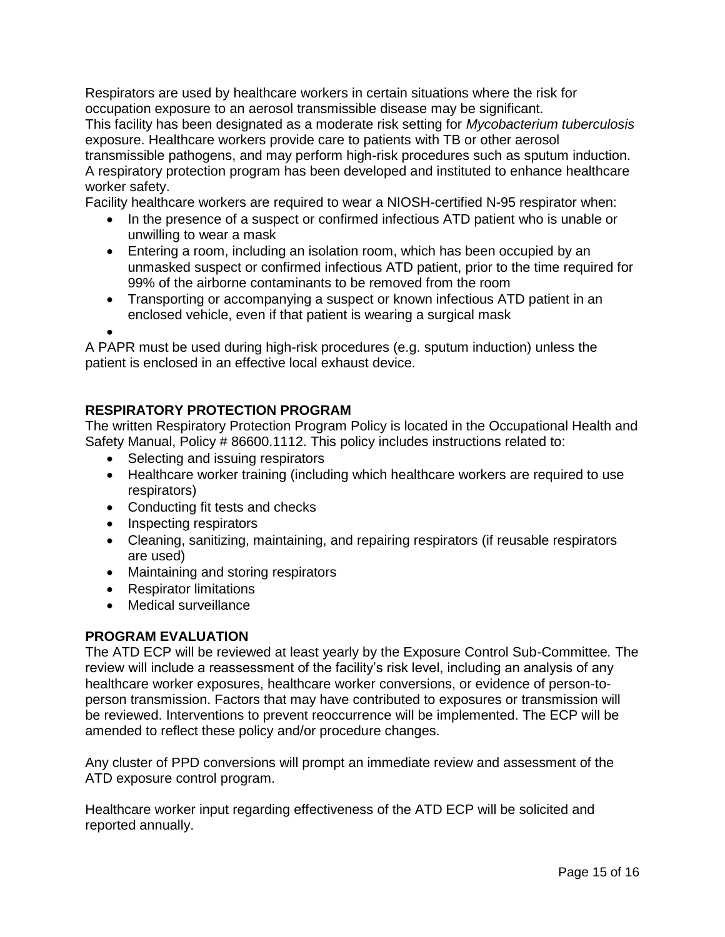Respirators are used by healthcare workers in certain situations where the risk for occupation exposure to an aerosol transmissible disease may be significant. This facility has been designated as a moderate risk setting for *Mycobacterium tuberculosis*  exposure. Healthcare workers provide care to patients with TB or other aerosol transmissible pathogens, and may perform high-risk procedures such as sputum induction. A respiratory protection program has been developed and instituted to enhance healthcare worker safety.

Facility healthcare workers are required to wear a NIOSH-certified N-95 respirator when:

- In the presence of a suspect or confirmed infectious ATD patient who is unable or unwilling to wear a mask
- Entering a room, including an isolation room, which has been occupied by an unmasked suspect or confirmed infectious ATD patient, prior to the time required for 99% of the airborne contaminants to be removed from the room
- Transporting or accompanying a suspect or known infectious ATD patient in an enclosed vehicle, even if that patient is wearing a surgical mask

 $\bullet$ 

A PAPR must be used during high-risk procedures (e.g. sputum induction) unless the patient is enclosed in an effective local exhaust device.

# **RESPIRATORY PROTECTION PROGRAM**

The written Respiratory Protection Program Policy is located in the Occupational Health and Safety Manual, Policy # 86600.1112. This policy includes instructions related to:

- Selecting and issuing respirators
- Healthcare worker training (including which healthcare workers are required to use respirators)
- Conducting fit tests and checks
- Inspecting respirators
- Cleaning, sanitizing, maintaining, and repairing respirators (if reusable respirators are used)
- Maintaining and storing respirators
- Respirator limitations
- Medical surveillance

# **PROGRAM EVALUATION**

The ATD ECP will be reviewed at least yearly by the Exposure Control Sub-Committee*.* The review will include a reassessment of the facility's risk level, including an analysis of any healthcare worker exposures, healthcare worker conversions, or evidence of person-toperson transmission. Factors that may have contributed to exposures or transmission will be reviewed. Interventions to prevent reoccurrence will be implemented. The ECP will be amended to reflect these policy and/or procedure changes.

Any cluster of PPD conversions will prompt an immediate review and assessment of the ATD exposure control program.

Healthcare worker input regarding effectiveness of the ATD ECP will be solicited and reported annually.